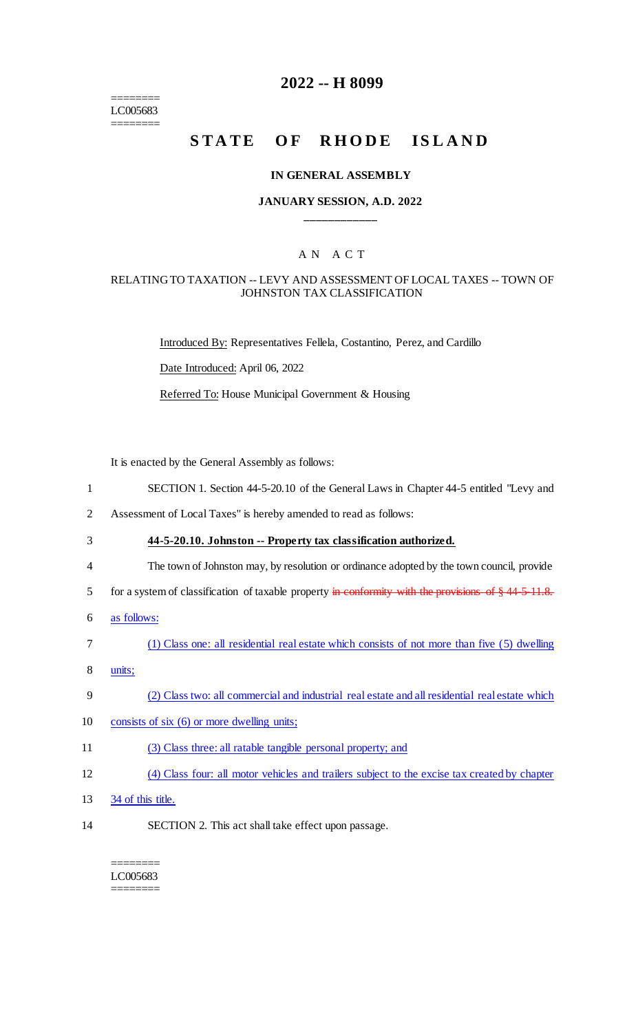======== LC005683 ========

## **2022 -- H 8099**

# **STATE OF RHODE ISLAND**

#### **IN GENERAL ASSEMBLY**

### **JANUARY SESSION, A.D. 2022 \_\_\_\_\_\_\_\_\_\_\_\_**

## A N A C T

#### RELATING TO TAXATION -- LEVY AND ASSESSMENT OF LOCAL TAXES -- TOWN OF JOHNSTON TAX CLASSIFICATION

Introduced By: Representatives Fellela, Costantino, Perez, and Cardillo

Date Introduced: April 06, 2022

Referred To: House Municipal Government & Housing

It is enacted by the General Assembly as follows:

- 1 SECTION 1. Section 44-5-20.10 of the General Laws in Chapter 44-5 entitled "Levy and
- 2 Assessment of Local Taxes" is hereby amended to read as follows:
- 3 **44-5-20.10. Johnston -- Property tax classification authorized.**
- 4 The town of Johnston may, by resolution or ordinance adopted by the town council, provide
- 5 for a system of classification of taxable property in conformity with the provisions of § 44-5-11.8.
- 6 as follows:
- 7 (1) Class one: all residential real estate which consists of not more than five (5) dwelling
- 8 units;
- 9 (2) Class two: all commercial and industrial real estate and all residential real estate which
- 10 consists of six (6) or more dwelling units;
- 11 (3) Class three: all ratable tangible personal property; and
- 12 (4) Class four: all motor vehicles and trailers subject to the excise tax created by chapter
- 13 34 of this title.
- 14 SECTION 2. This act shall take effect upon passage.

#### ======== LC005683 ========